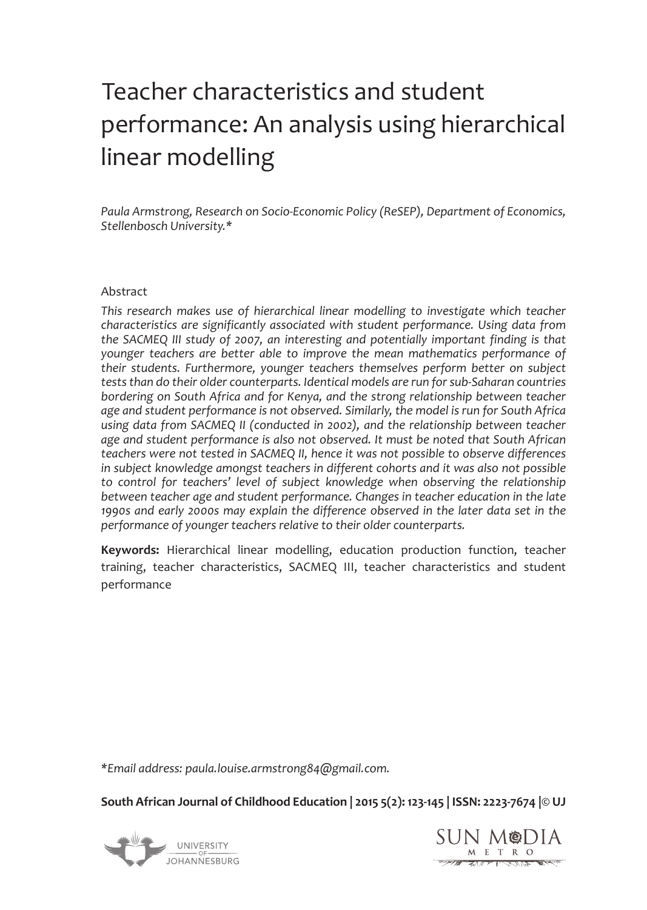# Teacher characteristics and student performance: An analysis using hierarchical linear modelling

*Paula Armstrong, Research on Socio-Economic Policy (ReSEP), Department of Economics, Stellenbosch University.\**

#### Abstract

This research makes use of hierarchical linear modelling to investigate which teacher *characteristics are significantly associated with student performance. Using data from the SACMEQ III study of 2007, an interesting and potentially important finding is that younger teachers are better able to improve the mean mathematics performance of their students. Furthermore, younger teachers themselves perform better on subject tests than do their older counterparts. Identical models are run for sub-Saharan countries bordering on South Africa and for Kenya, and the strong relationship between teacher age and student performance is not observed. Similarly, the model is run for South Africa using data from SACMEQ II (conducted in 2002), and the relationship between teacher age and student performance is also not observed. It must be noted that South African teachers were not tested in SACMEQ II, hence it was not possible to observe differences in subject knowledge amongst teachers in different cohorts and it was also not possible to control for teachers' level of subject knowledge when observing the relationship between teacher age and student performance. Changes in teacher education in the late 1990s and early 2000s may explain the difference observed in the later data set in the performance of younger teachers relative to their older counterparts.*

**Keywords:** Hierarchical linear modelling, education production function, teacher training, teacher characteristics, SACMEQ III, teacher characteristics and student performance

*\*Email address: paula.louise.armstrong84@gmail.com.*

**South African Journal of Childhood Education | 2015 5(2): 123-145 | ISSN: 2223-7674 |© UJ**



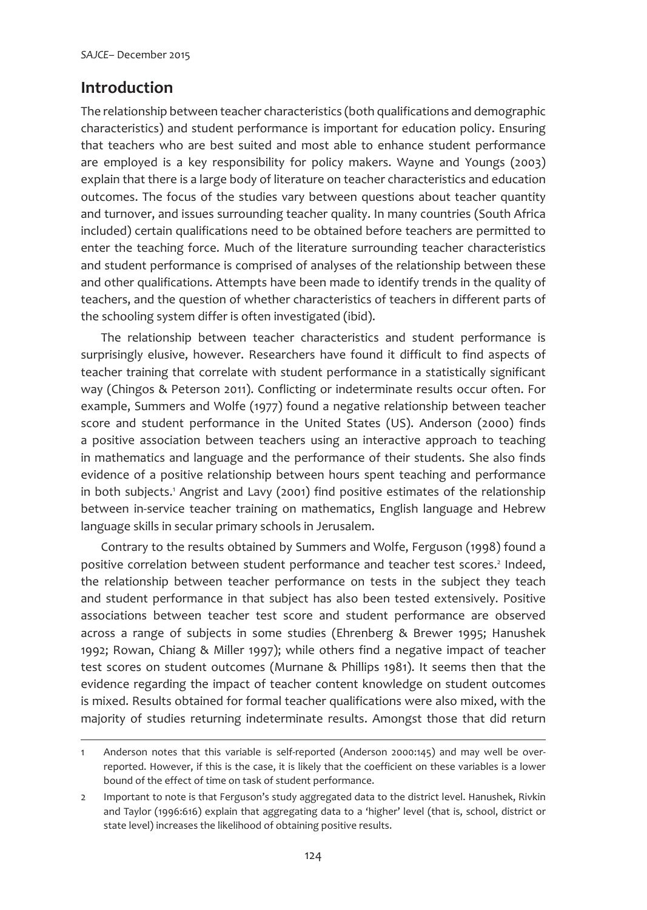# **Introduction**

The relationship between teacher characteristics (both qualifications and demographic characteristics) and student performance is important for education policy. Ensuring that teachers who are best suited and most able to enhance student performance are employed is a key responsibility for policy makers. Wayne and Youngs (2003) explain that there is a large body of literature on teacher characteristics and education outcomes. The focus of the studies vary between questions about teacher quantity and turnover, and issues surrounding teacher quality. In many countries (South Africa included) certain qualifications need to be obtained before teachers are permitted to enter the teaching force. Much of the literature surrounding teacher characteristics and student performance is comprised of analyses of the relationship between these and other qualifications. Attempts have been made to identify trends in the quality of teachers, and the question of whether characteristics of teachers in different parts of the schooling system differ is often investigated (ibid).

The relationship between teacher characteristics and student performance is surprisingly elusive, however. Researchers have found it difficult to find aspects of teacher training that correlate with student performance in a statistically significant way (Chingos & Peterson 2011). Conflicting or indeterminate results occur often. For example, Summers and Wolfe (1977) found a negative relationship between teacher score and student performance in the United States (US). Anderson (2000) finds a positive association between teachers using an interactive approach to teaching in mathematics and language and the performance of their students. She also finds evidence of a positive relationship between hours spent teaching and performance in both subjects.<sup>1</sup> Angrist and Lavy (2001) find positive estimates of the relationship between in-service teacher training on mathematics, English language and Hebrew language skills in secular primary schools in Jerusalem.

Contrary to the results obtained by Summers and Wolfe, Ferguson (1998) found a positive correlation between student performance and teacher test scores.<sup>2</sup> Indeed, the relationship between teacher performance on tests in the subject they teach and student performance in that subject has also been tested extensively. Positive associations between teacher test score and student performance are observed across a range of subjects in some studies (Ehrenberg & Brewer 1995; Hanushek 1992; Rowan, Chiang & Miller 1997); while others find a negative impact of teacher test scores on student outcomes (Murnane & Phillips 1981). It seems then that the evidence regarding the impact of teacher content knowledge on student outcomes is mixed. Results obtained for formal teacher qualifications were also mixed, with the majority of studies returning indeterminate results. Amongst those that did return

<sup>1</sup> Anderson notes that this variable is self-reported (Anderson 2000:145) and may well be overreported. However, if this is the case, it is likely that the coefficient on these variables is a lower bound of the effect of time on task of student performance.

<sup>2</sup> Important to note is that Ferguson's study aggregated data to the district level. Hanushek, Rivkin and Taylor (1996:616) explain that aggregating data to a 'higher' level (that is, school, district or state level) increases the likelihood of obtaining positive results.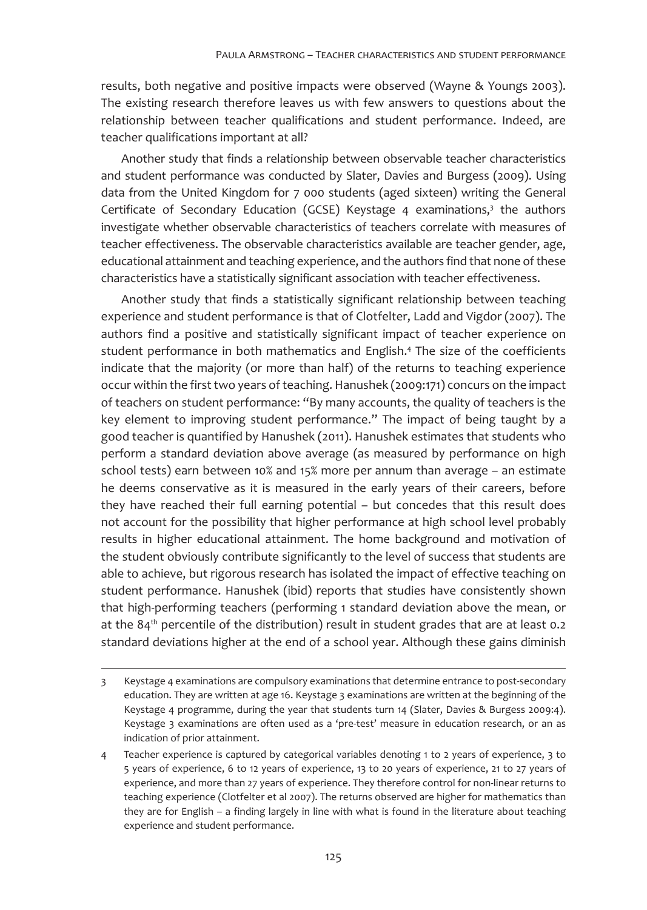results, both negative and positive impacts were observed (Wayne & Youngs 2003). The existing research therefore leaves us with few answers to questions about the relationship between teacher qualifications and student performance. Indeed, are teacher qualifications important at all?

Another study that finds a relationship between observable teacher characteristics and student performance was conducted by Slater, Davies and Burgess (2009). Using data from the United Kingdom for 7 000 students (aged sixteen) writing the General Certificate of Secondary Education (GCSE) Keystage 4 examinations,<sup>3</sup> the authors investigate whether observable characteristics of teachers correlate with measures of teacher effectiveness. The observable characteristics available are teacher gender, age, educational attainment and teaching experience, and the authors find that none of these characteristics have a statistically significant association with teacher effectiveness.

Another study that finds a statistically significant relationship between teaching experience and student performance is that of Clotfelter, Ladd and Vigdor (2007). The authors find a positive and statistically significant impact of teacher experience on student performance in both mathematics and English.4 The size of the coefficients indicate that the majority (or more than half) of the returns to teaching experience occur within the first two years of teaching. Hanushek (2009:171) concurs on the impact of teachers on student performance: "By many accounts, the quality of teachers is the key element to improving student performance." The impact of being taught by a good teacher is quantified by Hanushek (2011). Hanushek estimates that students who perform a standard deviation above average (as measured by performance on high school tests) earn between 10% and 15% more per annum than average – an estimate he deems conservative as it is measured in the early years of their careers, before they have reached their full earning potential – but concedes that this result does not account for the possibility that higher performance at high school level probably results in higher educational attainment. The home background and motivation of the student obviously contribute significantly to the level of success that students are able to achieve, but rigorous research has isolated the impact of effective teaching on student performance. Hanushek (ibid) reports that studies have consistently shown that high-performing teachers (performing 1 standard deviation above the mean, or at the  $84<sup>th</sup>$  percentile of the distribution) result in student grades that are at least 0.2 standard deviations higher at the end of a school year. Although these gains diminish

<sup>3</sup> Keystage 4 examinations are compulsory examinations that determine entrance to post-secondary education. They are written at age 16. Keystage 3 examinations are written at the beginning of the Keystage 4 programme, during the year that students turn 14 (Slater, Davies & Burgess 2009:4). Keystage 3 examinations are often used as a 'pre-test' measure in education research, or an as indication of prior attainment.

Teacher experience is captured by categorical variables denoting 1 to 2 years of experience, 3 to 5 years of experience, 6 to 12 years of experience, 13 to 20 years of experience, 21 to 27 years of experience, and more than 27 years of experience. They therefore control for non-linear returns to teaching experience (Clotfelter et al 2007). The returns observed are higher for mathematics than they are for English – a finding largely in line with what is found in the literature about teaching experience and student performance.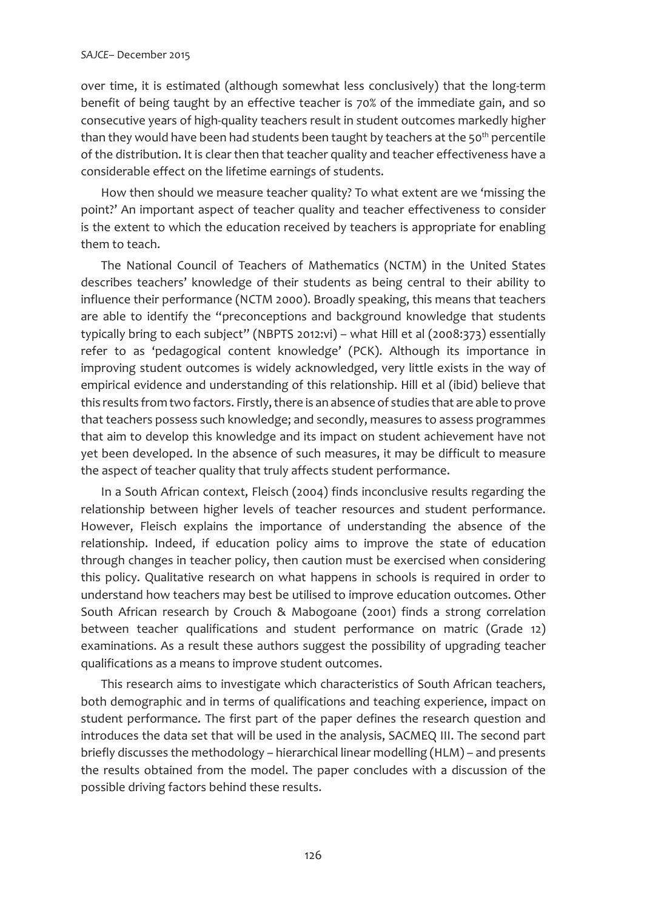#### *SAJCE*– December 2015

over time, it is estimated (although somewhat less conclusively) that the long-term benefit of being taught by an effective teacher is 70% of the immediate gain, and so consecutive years of high-quality teachers result in student outcomes markedly higher than they would have been had students been taught by teachers at the 50<sup>th</sup> percentile of the distribution. It is clear then that teacher quality and teacher effectiveness have a considerable effect on the lifetime earnings of students.

How then should we measure teacher quality? To what extent are we 'missing the point?' An important aspect of teacher quality and teacher effectiveness to consider is the extent to which the education received by teachers is appropriate for enabling them to teach.

The National Council of Teachers of Mathematics (NCTM) in the United States describes teachers' knowledge of their students as being central to their ability to influence their performance (NCTM 2000). Broadly speaking, this means that teachers are able to identify the "preconceptions and background knowledge that students typically bring to each subject" (NBPTS 2012:vi) – what Hill et al (2008:373) essentially refer to as 'pedagogical content knowledge' (PCK). Although its importance in improving student outcomes is widely acknowledged, very little exists in the way of empirical evidence and understanding of this relationship. Hill et al (ibid) believe that this results from two factors. Firstly, there is an absence of studies that are able to prove that teachers possess such knowledge; and secondly, measures to assess programmes that aim to develop this knowledge and its impact on student achievement have not yet been developed. In the absence of such measures, it may be difficult to measure the aspect of teacher quality that truly affects student performance.

In a South African context, Fleisch (2004) finds inconclusive results regarding the relationship between higher levels of teacher resources and student performance. However, Fleisch explains the importance of understanding the absence of the relationship. Indeed, if education policy aims to improve the state of education through changes in teacher policy, then caution must be exercised when considering this policy. Qualitative research on what happens in schools is required in order to understand how teachers may best be utilised to improve education outcomes. Other South African research by Crouch & Mabogoane (2001) finds a strong correlation between teacher qualifications and student performance on matric (Grade 12) examinations. As a result these authors suggest the possibility of upgrading teacher qualifications as a means to improve student outcomes.

This research aims to investigate which characteristics of South African teachers, both demographic and in terms of qualifications and teaching experience, impact on student performance. The first part of the paper defines the research question and introduces the data set that will be used in the analysis, SACMEQ III. The second part briefly discusses the methodology – hierarchical linear modelling (HLM) – and presents the results obtained from the model. The paper concludes with a discussion of the possible driving factors behind these results.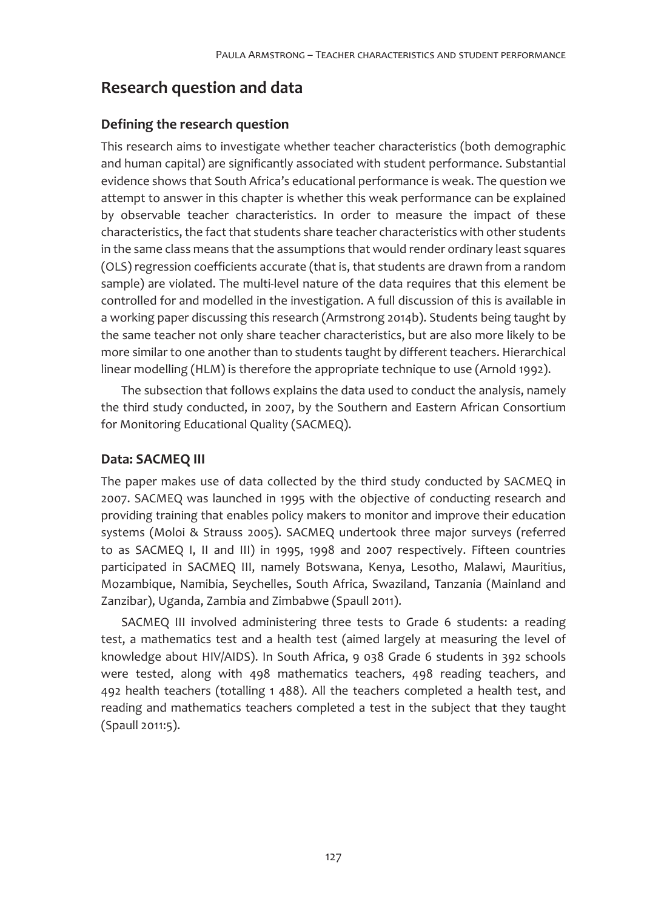# **Research question and data**

### **Defining the research question**

This research aims to investigate whether teacher characteristics (both demographic and human capital) are significantly associated with student performance. Substantial evidence shows that South Africa's educational performance is weak. The question we attempt to answer in this chapter is whether this weak performance can be explained by observable teacher characteristics. In order to measure the impact of these characteristics, the fact that students share teacher characteristics with other students in the same class means that the assumptions that would render ordinary least squares (OLS) regression coefficients accurate (that is, that students are drawn from a random sample) are violated. The multi-level nature of the data requires that this element be controlled for and modelled in the investigation. A full discussion of this is available in a working paper discussing this research (Armstrong 2014b). Students being taught by the same teacher not only share teacher characteristics, but are also more likely to be more similar to one another than to students taught by different teachers. Hierarchical linear modelling (HLM) is therefore the appropriate technique to use (Arnold 1992).

The subsection that follows explains the data used to conduct the analysis, namely the third study conducted, in 2007, by the Southern and Eastern African Consortium for Monitoring Educational Quality (SACMEQ).

### **Data: SACMEQ III**

The paper makes use of data collected by the third study conducted by SACMEQ in 2007. SACMEQ was launched in 1995 with the objective of conducting research and providing training that enables policy makers to monitor and improve their education systems (Moloi & Strauss 2005). SACMEQ undertook three major surveys (referred to as SACMEQ I, II and III) in 1995, 1998 and 2007 respectively. Fifteen countries participated in SACMEQ III, namely Botswana, Kenya, Lesotho, Malawi, Mauritius, Mozambique, Namibia, Seychelles, South Africa, Swaziland, Tanzania (Mainland and Zanzibar), Uganda, Zambia and Zimbabwe (Spaull 2011).

SACMEQ III involved administering three tests to Grade 6 students: a reading test, a mathematics test and a health test (aimed largely at measuring the level of knowledge about HIV/AIDS). In South Africa, 9 038 Grade 6 students in 392 schools were tested, along with 498 mathematics teachers, 498 reading teachers, and 492 health teachers (totalling 1 488). All the teachers completed a health test, and reading and mathematics teachers completed a test in the subject that they taught (Spaull 2011:5).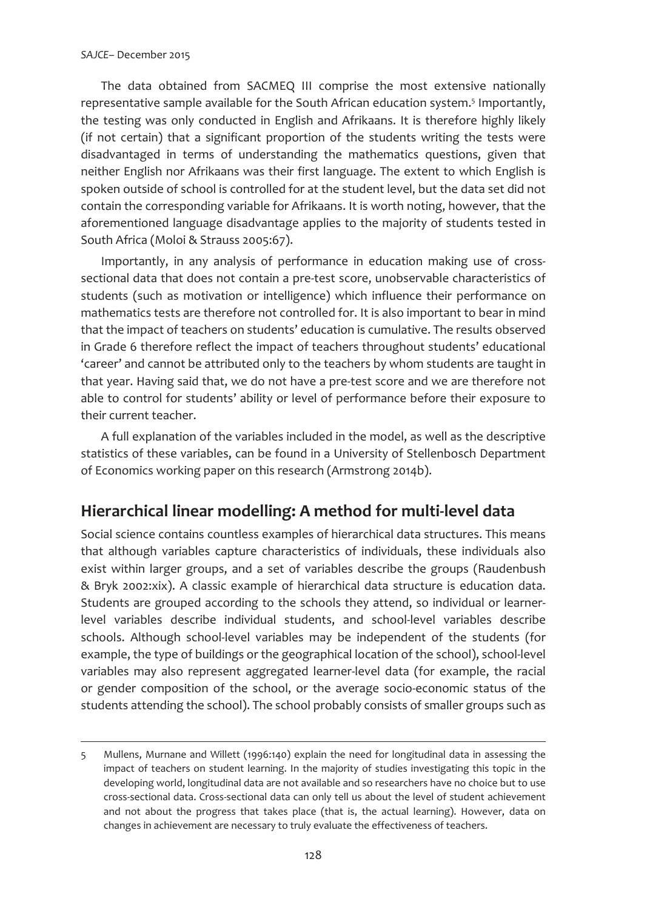The data obtained from SACMEQ III comprise the most extensive nationally representative sample available for the South African education system.<sup>5</sup> Importantly, the testing was only conducted in English and Afrikaans. It is therefore highly likely (if not certain) that a significant proportion of the students writing the tests were disadvantaged in terms of understanding the mathematics questions, given that neither English nor Afrikaans was their first language. The extent to which English is spoken outside of school is controlled for at the student level, but the data set did not contain the corresponding variable for Afrikaans. It is worth noting, however, that the aforementioned language disadvantage applies to the majority of students tested in South Africa (Moloi & Strauss 2005:67).

Importantly, in any analysis of performance in education making use of crosssectional data that does not contain a pre-test score, unobservable characteristics of students (such as motivation or intelligence) which influence their performance on mathematics tests are therefore not controlled for. It is also important to bear in mind that the impact of teachers on students' education is cumulative. The results observed in Grade 6 therefore reflect the impact of teachers throughout students' educational 'career' and cannot be attributed only to the teachers by whom students are taught in that year. Having said that, we do not have a pre-test score and we are therefore not able to control for students' ability or level of performance before their exposure to their current teacher.

A full explanation of the variables included in the model, as well as the descriptive statistics of these variables, can be found in a University of Stellenbosch Department of Economics working paper on this research (Armstrong 2014b).

### **Hierarchical linear modelling: A method for multi-level data**

Social science contains countless examples of hierarchical data structures. This means that although variables capture characteristics of individuals, these individuals also exist within larger groups, and a set of variables describe the groups (Raudenbush & Bryk 2002:xix). A classic example of hierarchical data structure is education data. Students are grouped according to the schools they attend, so individual or learnerlevel variables describe individual students, and school-level variables describe schools. Although school-level variables may be independent of the students (for example, the type of buildings or the geographical location of the school), school-level variables may also represent aggregated learner-level data (for example, the racial or gender composition of the school, or the average socio-economic status of the students attending the school). The school probably consists of smaller groups such as

<sup>5</sup> Mullens, Murnane and Willett (1996:140) explain the need for longitudinal data in assessing the impact of teachers on student learning. In the majority of studies investigating this topic in the developing world, longitudinal data are not available and so researchers have no choice but to use cross-sectional data. Cross-sectional data can only tell us about the level of student achievement and not about the progress that takes place (that is, the actual learning). However, data on changes in achievement are necessary to truly evaluate the effectiveness of teachers.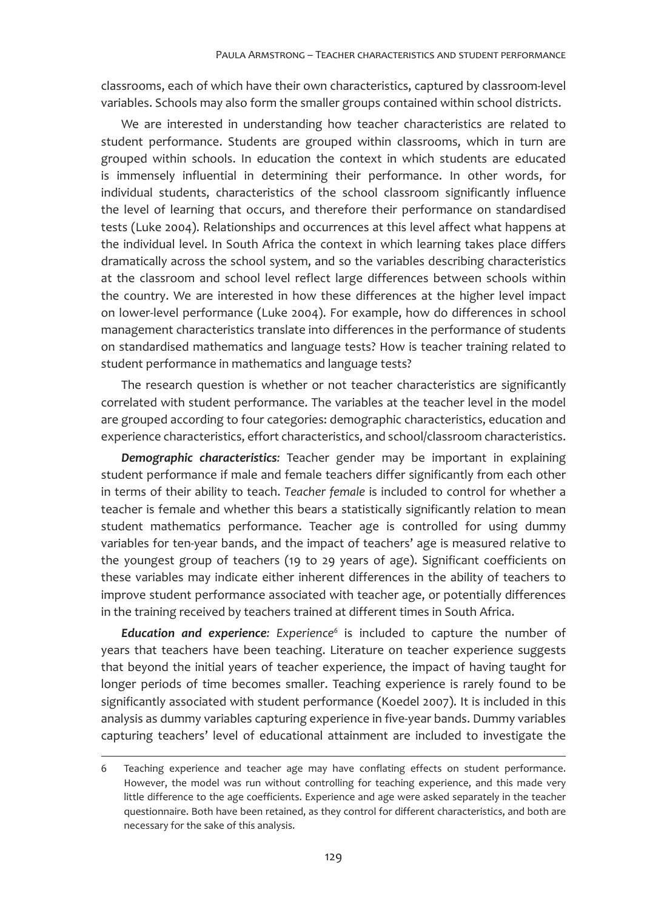classrooms, each of which have their own characteristics, captured by classroom-level variables. Schools may also form the smaller groups contained within school districts.

We are interested in understanding how teacher characteristics are related to student performance. Students are grouped within classrooms, which in turn are grouped within schools. In education the context in which students are educated is immensely influential in determining their performance. In other words, for individual students, characteristics of the school classroom significantly influence the level of learning that occurs, and therefore their performance on standardised tests (Luke 2004). Relationships and occurrences at this level affect what happens at the individual level. In South Africa the context in which learning takes place differs dramatically across the school system, and so the variables describing characteristics at the classroom and school level reflect large differences between schools within the country. We are interested in how these differences at the higher level impact on lower-level performance (Luke 2004). For example, how do differences in school management characteristics translate into differences in the performance of students on standardised mathematics and language tests? How is teacher training related to student performance in mathematics and language tests?

The research question is whether or not teacher characteristics are significantly correlated with student performance. The variables at the teacher level in the model are grouped according to four categories: demographic characteristics, education and experience characteristics, effort characteristics, and school/classroom characteristics.

*Demographic characteristics:* Teacher gender may be important in explaining student performance if male and female teachers differ significantly from each other in terms of their ability to teach. *Teacher female* is included to control for whether a teacher is female and whether this bears a statistically significantly relation to mean student mathematics performance. Teacher age is controlled for using dummy variables for ten-year bands, and the impact of teachers' age is measured relative to the youngest group of teachers (19 to 29 years of age). Significant coefficients on these variables may indicate either inherent differences in the ability of teachers to improve student performance associated with teacher age, or potentially differences in the training received by teachers trained at different times in South Africa.

**Education and experience**: Experience<sup>6</sup> is included to capture the number of years that teachers have been teaching. Literature on teacher experience suggests that beyond the initial years of teacher experience, the impact of having taught for longer periods of time becomes smaller. Teaching experience is rarely found to be significantly associated with student performance (Koedel 2007). It is included in this analysis as dummy variables capturing experience in five-year bands. Dummy variables capturing teachers' level of educational attainment are included to investigate the

<sup>6</sup> Teaching experience and teacher age may have conflating effects on student performance. However, the model was run without controlling for teaching experience, and this made very little difference to the age coefficients. Experience and age were asked separately in the teacher questionnaire. Both have been retained, as they control for different characteristics, and both are necessary for the sake of this analysis.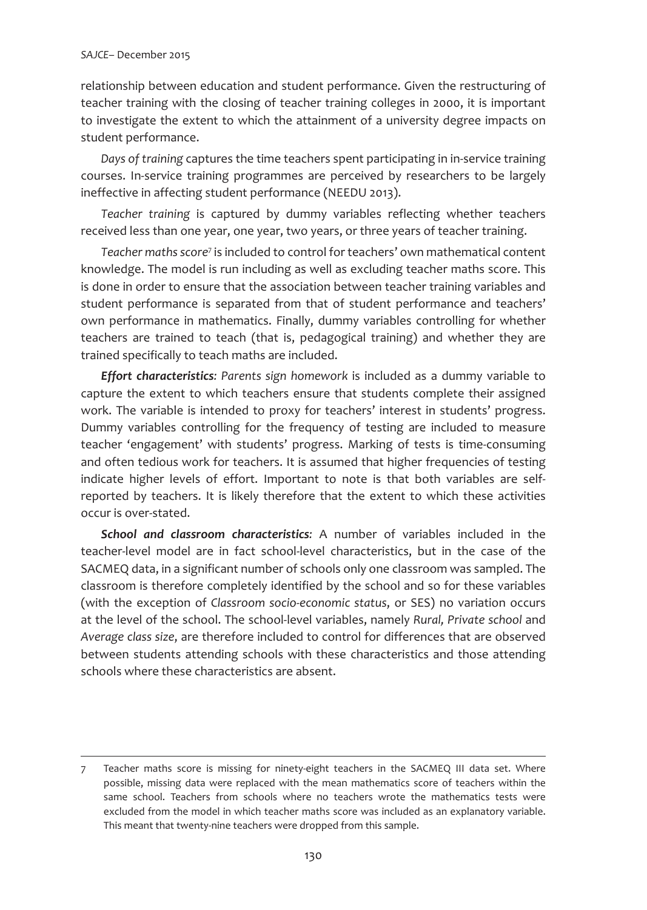relationship between education and student performance. Given the restructuring of teacher training with the closing of teacher training colleges in 2000, it is important to investigate the extent to which the attainment of a university degree impacts on student performance.

*Days of training* captures the time teachers spent participating in in-service training courses. In-service training programmes are perceived by researchers to be largely ineffective in affecting student performance (NEEDU 2013).

*Teacher training* is captured by dummy variables reflecting whether teachers received less than one year, one year, two years, or three years of teacher training.

*Teacher maths score*<sup>7</sup> is included to control for teachers' own mathematical content knowledge. The model is run including as well as excluding teacher maths score. This is done in order to ensure that the association between teacher training variables and student performance is separated from that of student performance and teachers' own performance in mathematics. Finally, dummy variables controlling for whether teachers are trained to teach (that is, pedagogical training) and whether they are trained specifically to teach maths are included.

*Effort characteristics: Parents sign homework* is included as a dummy variable to capture the extent to which teachers ensure that students complete their assigned work. The variable is intended to proxy for teachers' interest in students' progress. Dummy variables controlling for the frequency of testing are included to measure teacher 'engagement' with students' progress. Marking of tests is time-consuming and often tedious work for teachers. It is assumed that higher frequencies of testing indicate higher levels of effort. Important to note is that both variables are selfreported by teachers. It is likely therefore that the extent to which these activities occur is over-stated.

*School and classroom characteristics:* A number of variables included in the teacher-level model are in fact school-level characteristics, but in the case of the SACMEQ data, in a significant number of schools only one classroom was sampled. The classroom is therefore completely identified by the school and so for these variables (with the exception of *Classroom socio-economic status*, or SES) no variation occurs at the level of the school. The school-level variables, namely *Rural, Private school* and *Average class size*, are therefore included to control for differences that are observed between students attending schools with these characteristics and those attending schools where these characteristics are absent.

<sup>7</sup> Teacher maths score is missing for ninety-eight teachers in the SACMEQ III data set. Where possible, missing data were replaced with the mean mathematics score of teachers within the same school. Teachers from schools where no teachers wrote the mathematics tests were excluded from the model in which teacher maths score was included as an explanatory variable. This meant that twenty-nine teachers were dropped from this sample.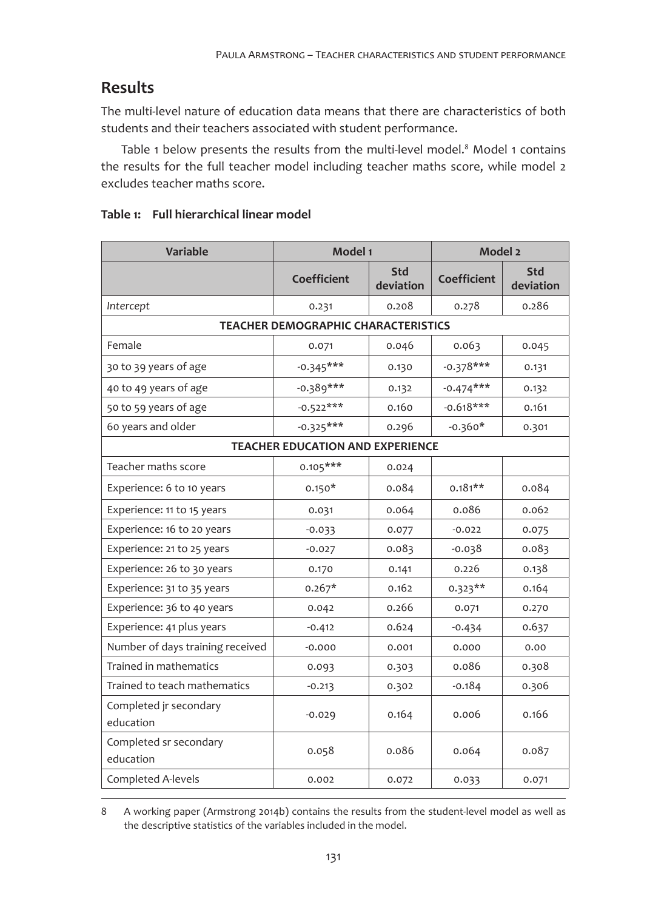# **Results**

The multi-level nature of education data means that there are characteristics of both students and their teachers associated with student performance.

Table 1 below presents the results from the multi-level model.<sup>8</sup> Model 1 contains the results for the full teacher model including teacher maths score, while model 2 excludes teacher maths score.

| Variable                                | Model 1                                    |                         | Model 2     |                  |  |
|-----------------------------------------|--------------------------------------------|-------------------------|-------------|------------------|--|
|                                         | Coefficient                                | <b>Std</b><br>deviation | Coefficient | Std<br>deviation |  |
| Intercept                               | 0.231                                      | 0.208                   | 0.278       | 0.286            |  |
|                                         | <b>TEACHER DEMOGRAPHIC CHARACTERISTICS</b> |                         |             |                  |  |
| Female                                  | 0.071                                      | 0.046                   | 0.063       | 0.045            |  |
| 30 to 39 years of age                   | $-0.345***$                                | 0.130                   | $-0.378***$ | 0.131            |  |
| 40 to 49 years of age                   | $-0.389***$                                | 0.132                   | $-0.474***$ | 0.132            |  |
| 50 to 59 years of age                   | $-0.522***$                                | 0.160                   | $-0.618***$ | 0.161            |  |
| 60 years and older                      | $-0.325***$                                | 0.296                   | $-0.360*$   | 0.301            |  |
| <b>TEACHER EDUCATION AND EXPERIENCE</b> |                                            |                         |             |                  |  |
| Teacher maths score                     | $0.105***$                                 | 0.024                   |             |                  |  |
| Experience: 6 to 10 years               | $0.150*$                                   | 0.084                   | $0.181**$   | 0.084            |  |
| Experience: 11 to 15 years              | 0.031                                      | 0.064                   | 0.086       | 0.062            |  |
| Experience: 16 to 20 years              | $-0.033$                                   | 0.077                   | $-0.022$    | 0.075            |  |
| Experience: 21 to 25 years              | $-0.027$                                   | 0.083                   | $-0.038$    | 0.083            |  |
| Experience: 26 to 30 years              | 0.170                                      | 0.141                   | 0.226       | 0.138            |  |
| Experience: 31 to 35 years              | $0.267*$                                   | 0.162                   | $0.323**$   | 0.164            |  |
| Experience: 36 to 40 years              | 0.042                                      | 0.266                   | 0.071       | 0.270            |  |
| Experience: 41 plus years               | $-0.412$                                   | 0.624                   | $-0.434$    | 0.637            |  |
| Number of days training received        | $-0.000$                                   | 0.001                   | 0.000       | 0.00             |  |
| Trained in mathematics                  | 0.093                                      | 0.303                   | 0.086       | 0.308            |  |
| Trained to teach mathematics            | $-0.213$                                   | 0.302                   | -0.184      | 0.306            |  |
| Completed jr secondary<br>education     | $-0.029$                                   | 0.164                   | 0.006       | 0.166            |  |
| Completed sr secondary<br>education     | 0.058                                      | 0.086                   | 0.064       | 0.087            |  |
| Completed A-levels                      | 0.002                                      | 0.072                   | 0.033       | 0.071            |  |

### **Table 1: Full hierarchical linear model**

8 A working paper (Armstrong 2014b) contains the results from the student-level model as well as the descriptive statistics of the variables included in the model.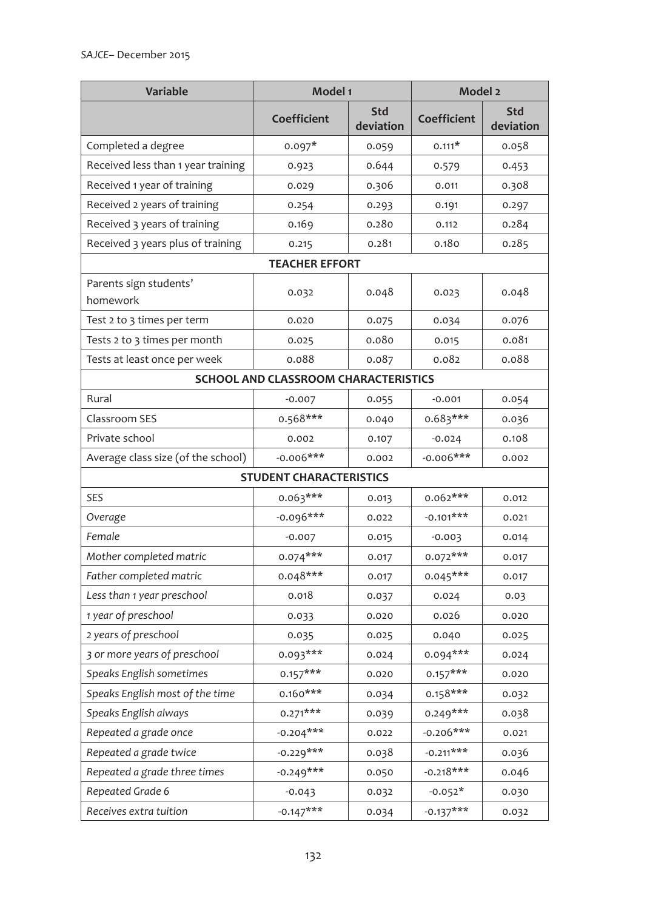| <b>Variable</b>                    | Model 1                                     |                         | Model <sub>2</sub> |                  |
|------------------------------------|---------------------------------------------|-------------------------|--------------------|------------------|
|                                    | <b>Coefficient</b>                          | <b>Std</b><br>deviation | <b>Coefficient</b> | Std<br>deviation |
| Completed a degree                 | $0.097*$                                    | 0.059                   | $0.111*$           | 0.058            |
| Received less than 1 year training | 0.923                                       | 0.644                   | 0.579              | 0.453            |
| Received 1 year of training        | 0.029                                       | 0.306                   | 0.011              | 0.308            |
| Received 2 years of training       | 0.254                                       | 0.293                   | 0.191              | 0.297            |
| Received 3 years of training       | 0.169                                       | 0.280                   | 0.112              | 0.284            |
| Received 3 years plus of training  | 0.215                                       | 0.281                   | 0.180              | 0.285            |
|                                    | <b>TEACHER EFFORT</b>                       |                         |                    |                  |
| Parents sign students'<br>homework | 0.032                                       | 0.048                   | 0.023              | 0.048            |
| Test 2 to 3 times per term         | 0.020                                       | 0.075                   | 0.034              | 0.076            |
| Tests 2 to 3 times per month       | 0.025                                       | 0.080                   | 0.015              | 0.081            |
| Tests at least once per week       | 0.088                                       | 0.087                   | 0.082              | 0.088            |
|                                    | <b>SCHOOL AND CLASSROOM CHARACTERISTICS</b> |                         |                    |                  |
| Rural                              | $-0.007$                                    | 0.055                   | $-0.001$           | 0.054            |
| Classroom SES                      | $0.568***$                                  | 0.040                   | $0.683***$         | 0.036            |
| Private school                     | 0.002                                       | 0.107                   | $-0.024$           | 0.108            |
| Average class size (of the school) | $-0.006***$                                 | 0.002                   | $-0.006***$        | 0.002            |
| <b>STUDENT CHARACTERISTICS</b>     |                                             |                         |                    |                  |
| <b>SES</b>                         | $0.063***$                                  | 0.013                   | $0.062***$         | 0.012            |
| Overage                            | $-0.096***$                                 | 0.022                   | $-0.101***$        | 0.021            |
| Female                             | $-0.007$                                    | 0.015                   | $-0.003$           | 0.014            |
| Mother completed matric            | $0.074***$                                  | 0.017                   | $0.072***$         | 0.017            |
| Father completed matric            | $0.048***$                                  | 0.017                   | $0.045***$         | 0.017            |
| Less than 1 year preschool         | 0.018                                       | 0.037                   | 0.024              | 0.03             |
| 1 year of preschool                | 0.033                                       | 0.020                   | 0.026              | 0.020            |
| 2 years of preschool               | 0.035                                       | 0.025                   | 0.040              | 0.025            |
| 3 or more years of preschool       | $0.093***$                                  | 0.024                   | $0.094***$         | 0.024            |
| Speaks English sometimes           | $0.157***$                                  | 0.020                   | $0.157***$         | 0.020            |
| Speaks English most of the time    | $0.160***$                                  | 0.034                   | $0.158***$         | 0.032            |
| Speaks English always              | $0.271***$                                  | 0.039                   | $0.249***$         | 0.038            |
| Repeated a grade once              | $-0.204***$                                 | 0.022                   | $-0.206***$        | 0.021            |
| Repeated a grade twice             | $-0.229***$                                 | 0.038                   | $-0.211***$        | 0.036            |
| Repeated a grade three times       | $-0.249***$                                 | 0.050                   | $-0.218***$        | 0.046            |
| Repeated Grade 6                   | $-0.043$                                    | 0.032                   | $-0.052*$          | 0.030            |
| Receives extra tuition             | $-0.147***$                                 | 0.034                   | $-0.137***$        | 0.032            |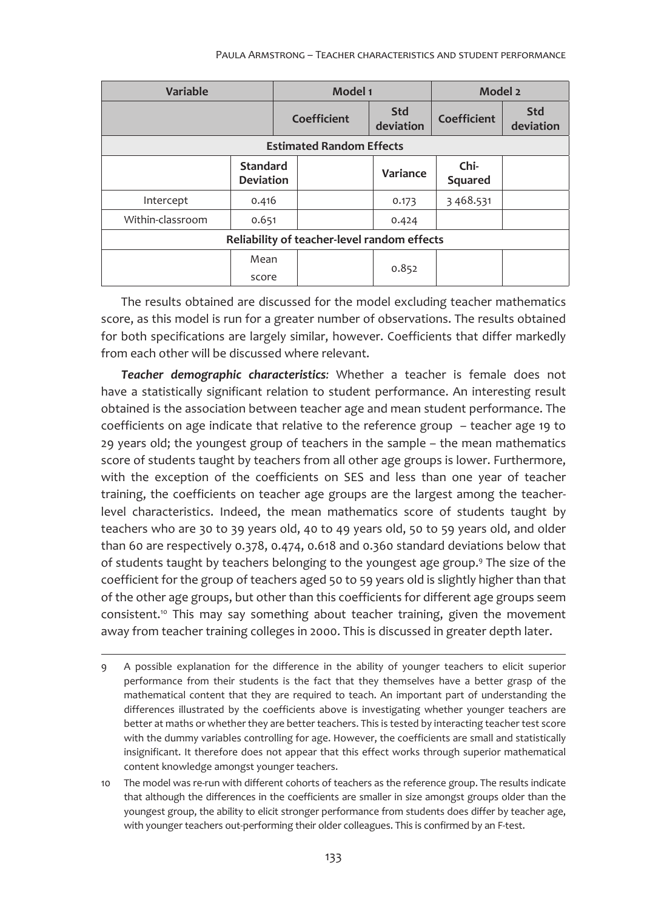| Variable                                    |                              | Model 1     |  | Model 2                 |                 |                         |
|---------------------------------------------|------------------------------|-------------|--|-------------------------|-----------------|-------------------------|
|                                             |                              | Coefficient |  | <b>Std</b><br>deviation | Coefficient     | <b>Std</b><br>deviation |
| <b>Estimated Random Effects</b>             |                              |             |  |                         |                 |                         |
|                                             | Standard<br><b>Deviation</b> |             |  | Variance                | Chi-<br>Squared |                         |
| Intercept                                   | 0.416                        |             |  | 0.173                   | 3 4 6 8 . 5 3 1 |                         |
| Within-classroom                            | 0.651                        |             |  | 0.424                   |                 |                         |
| Reliability of teacher-level random effects |                              |             |  |                         |                 |                         |
|                                             | Mean                         |             |  | 0.852                   |                 |                         |
|                                             | score                        |             |  |                         |                 |                         |

The results obtained are discussed for the model excluding teacher mathematics score, as this model is run for a greater number of observations. The results obtained for both specifications are largely similar, however. Coefficients that differ markedly from each other will be discussed where relevant.

*Teacher demographic characteristics:* Whether a teacher is female does not have a statistically significant relation to student performance. An interesting result obtained is the association between teacher age and mean student performance. The coefficients on age indicate that relative to the reference group – teacher age 19 to 29 years old; the youngest group of teachers in the sample – the mean mathematics score of students taught by teachers from all other age groups is lower. Furthermore, with the exception of the coefficients on SES and less than one year of teacher training, the coefficients on teacher age groups are the largest among the teacherlevel characteristics. Indeed, the mean mathematics score of students taught by teachers who are 30 to 39 years old, 40 to 49 years old, 50 to 59 years old, and older than 60 are respectively 0.378, 0.474, 0.618 and 0.360 standard deviations below that of students taught by teachers belonging to the youngest age group.<sup>9</sup> The size of the coefficient for the group of teachers aged 50 to 59 years old is slightly higher than that of the other age groups, but other than this coefficients for different age groups seem consistent.10 This may say something about teacher training, given the movement away from teacher training colleges in 2000. This is discussed in greater depth later.

10 The model was re-run with different cohorts of teachers as the reference group. The results indicate that although the differences in the coefficients are smaller in size amongst groups older than the youngest group, the ability to elicit stronger performance from students does differ by teacher age, with younger teachers out-performing their older colleagues. This is confirmed by an F-test.

<sup>9</sup> A possible explanation for the difference in the ability of younger teachers to elicit superior performance from their students is the fact that they themselves have a better grasp of the mathematical content that they are required to teach. An important part of understanding the differences illustrated by the coefficients above is investigating whether younger teachers are better at maths or whether they are better teachers. This is tested by interacting teacher test score with the dummy variables controlling for age. However, the coefficients are small and statistically insignificant. It therefore does not appear that this effect works through superior mathematical content knowledge amongst younger teachers.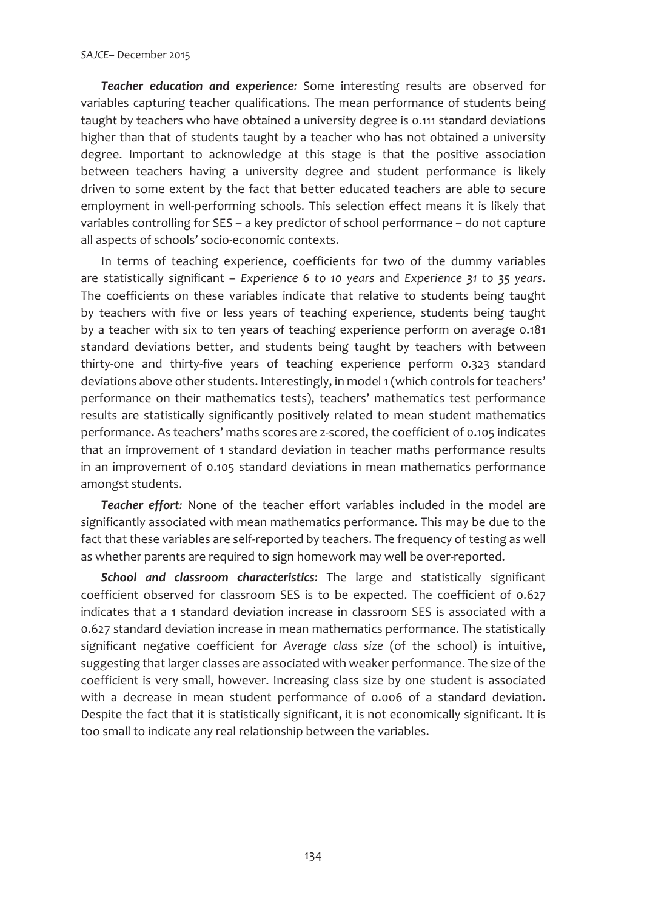*Teacher education and experience:* Some interesting results are observed for variables capturing teacher qualifications. The mean performance of students being taught by teachers who have obtained a university degree is 0.111 standard deviations higher than that of students taught by a teacher who has not obtained a university degree. Important to acknowledge at this stage is that the positive association between teachers having a university degree and student performance is likely driven to some extent by the fact that better educated teachers are able to secure employment in well-performing schools. This selection effect means it is likely that variables controlling for SES – a key predictor of school performance – do not capture all aspects of schools' socio-economic contexts.

In terms of teaching experience, coefficients for two of the dummy variables are statistically significant – *Experience 6 to 10 years* and *Experience 31 to 35 years*. The coefficients on these variables indicate that relative to students being taught by teachers with five or less years of teaching experience, students being taught by a teacher with six to ten years of teaching experience perform on average 0.181 standard deviations better, and students being taught by teachers with between thirty-one and thirty-five years of teaching experience perform 0.323 standard deviations above other students. Interestingly, in model 1 (which controls for teachers' performance on their mathematics tests), teachers' mathematics test performance results are statistically significantly positively related to mean student mathematics performance. As teachers' maths scores are z-scored, the coefficient of 0.105 indicates that an improvement of 1 standard deviation in teacher maths performance results in an improvement of 0.105 standard deviations in mean mathematics performance amongst students.

*Teacher effort:* None of the teacher effort variables included in the model are significantly associated with mean mathematics performance. This may be due to the fact that these variables are self-reported by teachers. The frequency of testing as well as whether parents are required to sign homework may well be over-reported.

*School and classroom characteristics*: The large and statistically significant coefficient observed for classroom SES is to be expected. The coefficient of 0.627 indicates that a 1 standard deviation increase in classroom SES is associated with a 0.627 standard deviation increase in mean mathematics performance. The statistically significant negative coefficient for *Average class size* (of the school) is intuitive, suggesting that larger classes are associated with weaker performance. The size of the coefficient is very small, however. Increasing class size by one student is associated with a decrease in mean student performance of 0.006 of a standard deviation. Despite the fact that it is statistically significant, it is not economically significant. It is too small to indicate any real relationship between the variables.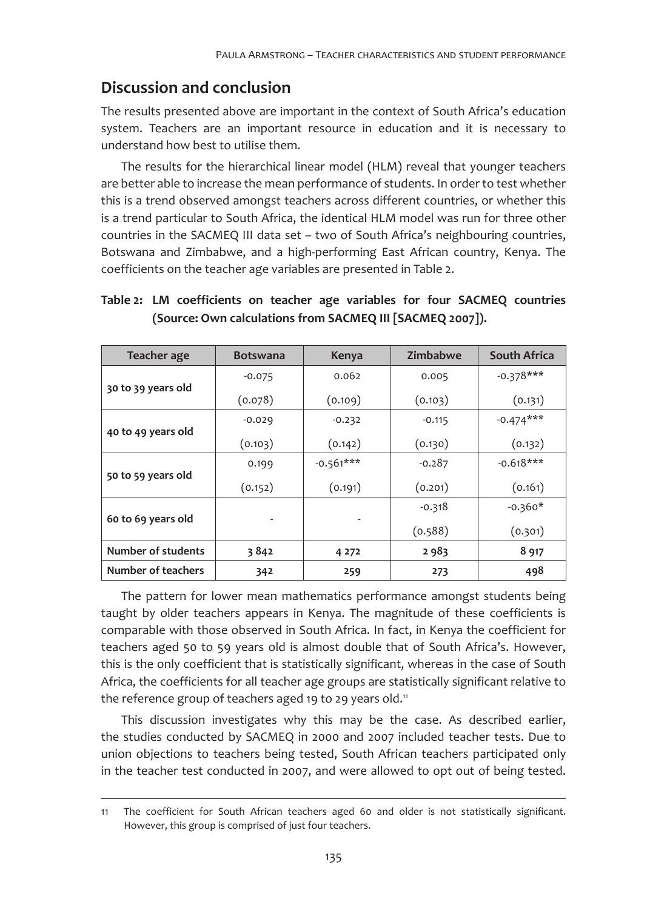# **Discussion and conclusion**

The results presented above are important in the context of South Africa's education system. Teachers are an important resource in education and it is necessary to understand how best to utilise them.

The results for the hierarchical linear model (HLM) reveal that younger teachers are better able to increase the mean performance of students. In order to test whether this is a trend observed amongst teachers across different countries, or whether this is a trend particular to South Africa, the identical HLM model was run for three other countries in the SACMEQ III data set – two of South Africa's neighbouring countries, Botswana and Zimbabwe, and a high-performing East African country, Kenya. The coefficients on the teacher age variables are presented in Table 2.

### **Table 2: LM coefficients on teacher age variables for four SACMEQ countries (Source: Own calculations from SACMEQ III [SACMEQ 2007]).**

| Teacher age        | <b>Botswana</b> | Kenya       | Zimbabwe | <b>South Africa</b> |
|--------------------|-----------------|-------------|----------|---------------------|
| 30 to 39 years old | $-0.075$        | 0.062       | 0.005    | $-0.378***$         |
|                    | (0.078)         | (0.109)     | (0.103)  | (0.131)             |
|                    | $-0.029$        | $-0.232$    | $-0.115$ | $-0.474***$         |
| 40 to 49 years old | (0.103)         | (0.142)     | (0.130)  | (0.132)             |
| 50 to 59 years old | 0.199           | $-0.561***$ | $-0.287$ | $-0.618***$         |
|                    | (0.152)         | (0.191)     | (0.201)  | (0.161)             |
|                    |                 |             | $-0.318$ | $-0.360*$           |
| 60 to 69 years old |                 |             | (0.588)  | (0.301)             |
| Number of students | 3842            | 4 2 7 2     | 2983     | 8 9 17              |
| Number of teachers | 342             | 259         | 273      | 498                 |

The pattern for lower mean mathematics performance amongst students being taught by older teachers appears in Kenya. The magnitude of these coefficients is comparable with those observed in South Africa. In fact, in Kenya the coefficient for teachers aged 50 to 59 years old is almost double that of South Africa's. However, this is the only coefficient that is statistically significant, whereas in the case of South Africa, the coefficients for all teacher age groups are statistically significant relative to the reference group of teachers aged 19 to 29 years old.<sup>11</sup>

This discussion investigates why this may be the case. As described earlier, the studies conducted by SACMEQ in 2000 and 2007 included teacher tests. Due to union objections to teachers being tested, South African teachers participated only in the teacher test conducted in 2007, and were allowed to opt out of being tested.

<sup>11</sup> The coefficient for South African teachers aged 60 and older is not statistically significant. However, this group is comprised of just four teachers.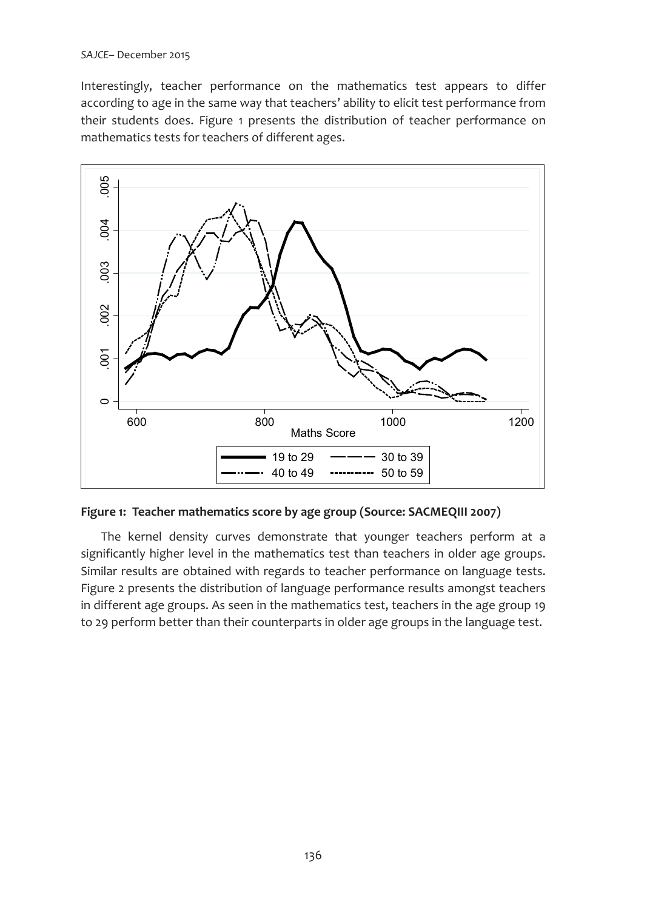Interestingly, teacher performance on the mathematics test appears to differ according to age in the same way that teachers' ability to elicit test performance from their students does. Figure 1 presents the distribution of teacher performance on mathematics tests for teachers of different ages.



### **Figure 1: Teacher mathematics score by age group (Source: SACMEQIII 2007)**

The kernel density curves demonstrate that younger teachers perform at a significantly higher level in the mathematics test than teachers in older age groups. Similar results are obtained with regards to teacher performance on language tests. Figure 2 presents the distribution of language performance results amongst teachers in different age groups. As seen in the mathematics test, teachers in the age group 19 to 29 perform better than their counterparts in older age groups in the language test.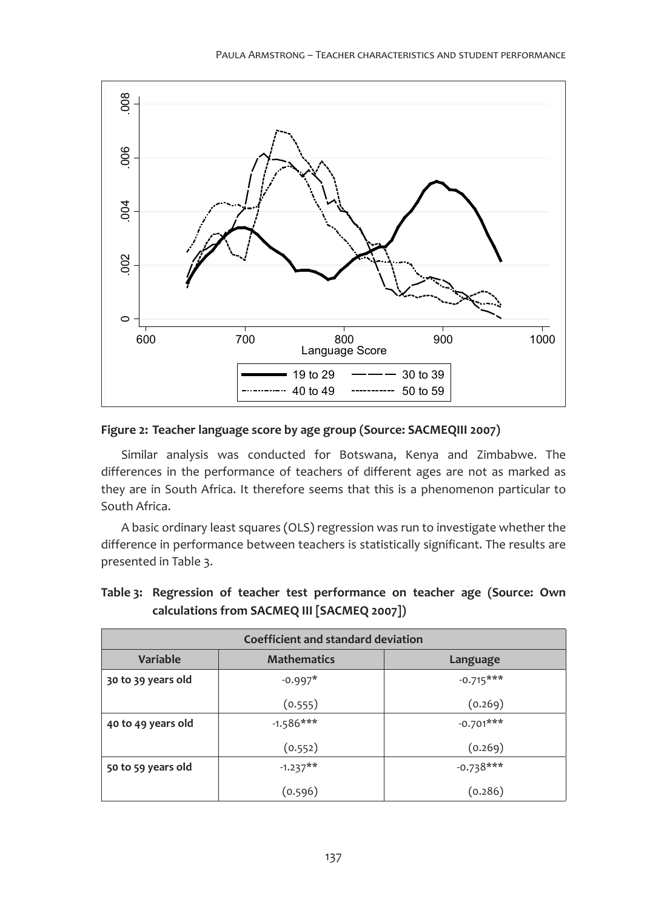

#### **Figure 2: Teacher language score by age group (Source: SACMEQIII 2007)**

Similar analysis was conducted for Botswana, Kenya and Zimbabwe. The differences in the performance of teachers of different ages are not as marked as they are in South Africa. It therefore seems that this is a phenomenon particular to South Africa.

A basic ordinary least squares (OLS) regression was run to investigate whether the difference in performance between teachers is statistically significant. The results are presented in Table 3.

| Coefficient and standard deviation |                    |             |  |  |
|------------------------------------|--------------------|-------------|--|--|
| <b>Variable</b>                    | <b>Mathematics</b> | Language    |  |  |
| 30 to 39 years old                 | $-0.997*$          | $-0.715***$ |  |  |
|                                    | (0.555)            | (0.269)     |  |  |
| 40 to 49 years old                 | $-1.586***$        | $-0.701***$ |  |  |
|                                    | (0.552)            | (0.269)     |  |  |
| 50 to 59 years old                 | $-1.237**$         | $-0.738***$ |  |  |
|                                    | (0.596)            | (0.286)     |  |  |

### **Table 3: Regression of teacher test performance on teacher age (Source: Own calculations from SACMEQ III [SACMEQ 2007])**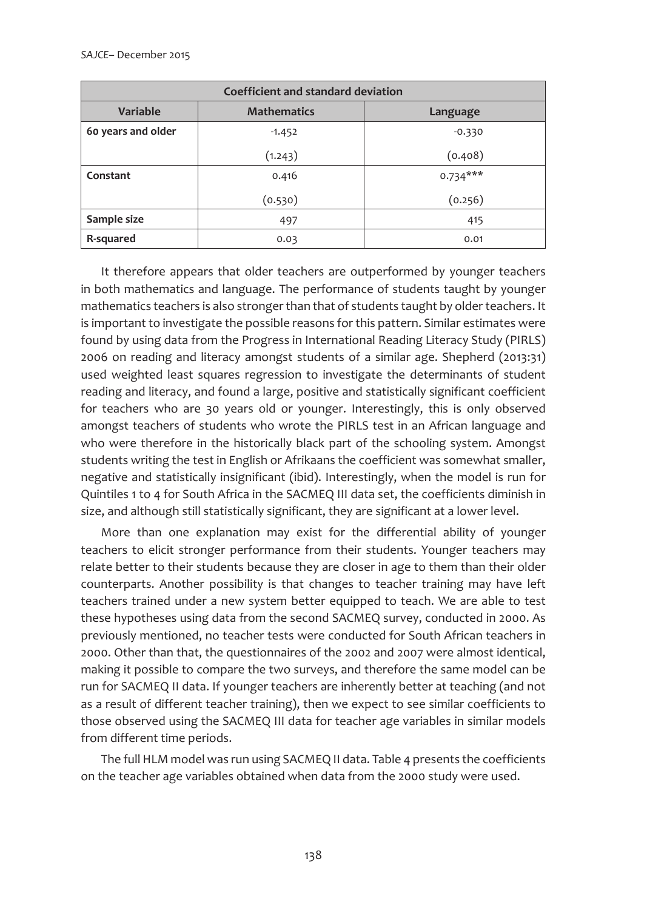| Coefficient and standard deviation |                    |            |  |  |
|------------------------------------|--------------------|------------|--|--|
| <b>Variable</b>                    | <b>Mathematics</b> | Language   |  |  |
| 60 years and older                 | $-1.452$           | $-0.330$   |  |  |
|                                    | (1.243)            | (0.408)    |  |  |
| Constant                           | 0.416              | $0.734***$ |  |  |
|                                    | (0.530)            | (0.256)    |  |  |
| Sample size                        | 497                | 415        |  |  |
| R-squared                          | 0.03               | 0.01       |  |  |

It therefore appears that older teachers are outperformed by younger teachers in both mathematics and language. The performance of students taught by younger mathematics teachers is also stronger than that of students taught by older teachers. It is important to investigate the possible reasons for this pattern. Similar estimates were found by using data from the Progress in International Reading Literacy Study (PIRLS) 2006 on reading and literacy amongst students of a similar age. Shepherd (2013:31) used weighted least squares regression to investigate the determinants of student reading and literacy, and found a large, positive and statistically significant coefficient for teachers who are 30 years old or younger. Interestingly, this is only observed amongst teachers of students who wrote the PIRLS test in an African language and who were therefore in the historically black part of the schooling system. Amongst students writing the test in English or Afrikaans the coefficient was somewhat smaller, negative and statistically insignificant (ibid). Interestingly, when the model is run for Quintiles 1 to 4 for South Africa in the SACMEQ III data set, the coefficients diminish in size, and although still statistically significant, they are significant at a lower level.

More than one explanation may exist for the differential ability of younger teachers to elicit stronger performance from their students. Younger teachers may relate better to their students because they are closer in age to them than their older counterparts. Another possibility is that changes to teacher training may have left teachers trained under a new system better equipped to teach. We are able to test these hypotheses using data from the second SACMEQ survey, conducted in 2000. As previously mentioned, no teacher tests were conducted for South African teachers in 2000. Other than that, the questionnaires of the 2002 and 2007 were almost identical, making it possible to compare the two surveys, and therefore the same model can be run for SACMEQ II data. If younger teachers are inherently better at teaching (and not as a result of different teacher training), then we expect to see similar coefficients to those observed using the SACMEQ III data for teacher age variables in similar models from different time periods.

The full HLM model was run using SACMEQ II data. Table 4 presents the coefficients on the teacher age variables obtained when data from the 2000 study were used.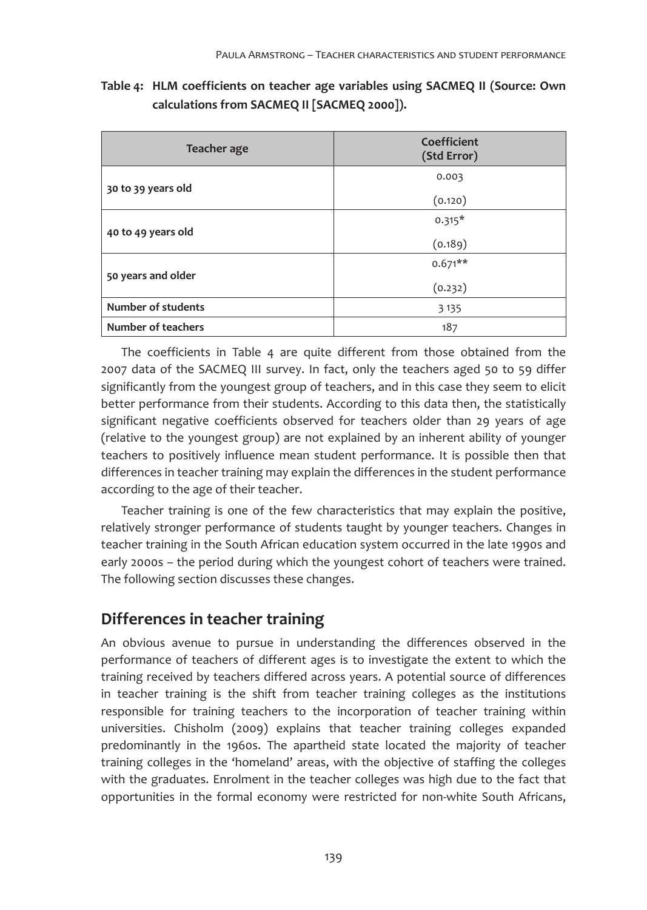| Teacher age        | Coefficient<br>(Std Error) |
|--------------------|----------------------------|
| 30 to 39 years old | 0.003                      |
|                    | (0.120)                    |
|                    | $0.315*$                   |
| 40 to 49 years old | (0.189)                    |
|                    | $0.671**$                  |
| 50 years and older | (0.232)                    |
| Number of students | 3 1 3 5                    |
| Number of teachers | 187                        |

**Table 4: HLM coefficients on teacher age variables using SACMEQ II (Source: Own calculations from SACMEQ II [SACMEQ 2000]).**

The coefficients in Table 4 are quite different from those obtained from the 2007 data of the SACMEQ III survey. In fact, only the teachers aged 50 to 59 differ significantly from the youngest group of teachers, and in this case they seem to elicit better performance from their students. According to this data then, the statistically significant negative coefficients observed for teachers older than 29 years of age (relative to the youngest group) are not explained by an inherent ability of younger teachers to positively influence mean student performance. It is possible then that differences in teacher training may explain the differences in the student performance according to the age of their teacher.

Teacher training is one of the few characteristics that may explain the positive, relatively stronger performance of students taught by younger teachers. Changes in teacher training in the South African education system occurred in the late 1990s and early 2000s – the period during which the youngest cohort of teachers were trained. The following section discusses these changes.

# **Differences in teacher training**

An obvious avenue to pursue in understanding the differences observed in the performance of teachers of different ages is to investigate the extent to which the training received by teachers differed across years. A potential source of differences in teacher training is the shift from teacher training colleges as the institutions responsible for training teachers to the incorporation of teacher training within universities. Chisholm (2009) explains that teacher training colleges expanded predominantly in the 1960s. The apartheid state located the majority of teacher training colleges in the 'homeland' areas, with the objective of staffing the colleges with the graduates. Enrolment in the teacher colleges was high due to the fact that opportunities in the formal economy were restricted for non-white South Africans,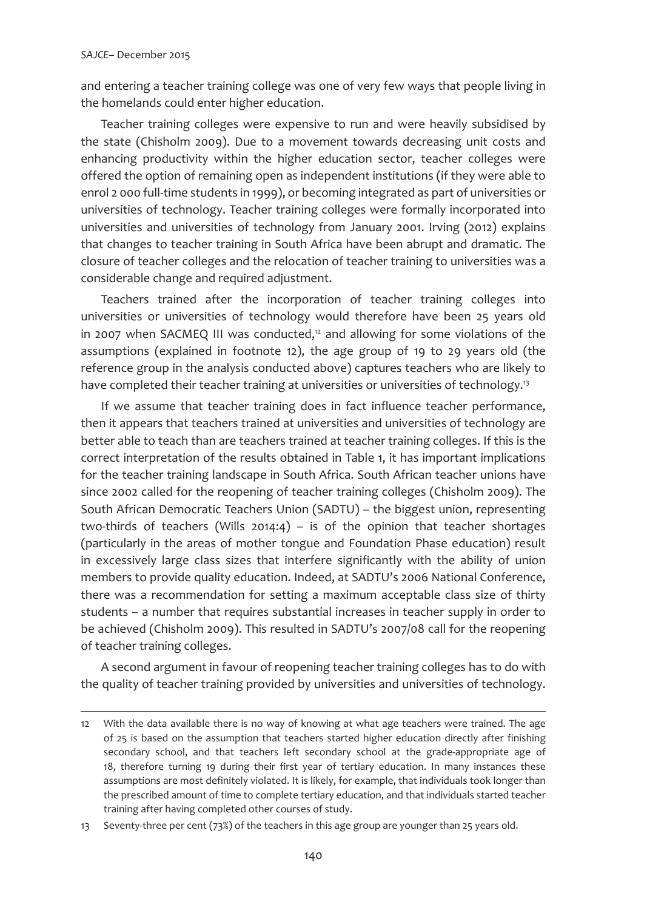and entering a teacher training college was one of very few ways that people living in the homelands could enter higher education.

Teacher training colleges were expensive to run and were heavily subsidised by the state (Chisholm 2009). Due to a movement towards decreasing unit costs and enhancing productivity within the higher education sector, teacher colleges were offered the option of remaining open as independent institutions (if they were able to enrol 2 000 full-time students in 1999), or becoming integrated as part of universities or universities of technology. Teacher training colleges were formally incorporated into universities and universities of technology from January 2001. Irving (2012) explains that changes to teacher training in South Africa have been abrupt and dramatic. The closure of teacher colleges and the relocation of teacher training to universities was a considerable change and required adjustment.

Teachers trained after the incorporation of teacher training colleges into universities or universities of technology would therefore have been 25 years old in 2007 when SACMEQ III was conducted,<sup>12</sup> and allowing for some violations of the assumptions (explained in footnote 12), the age group of 19 to 29 years old (the reference group in the analysis conducted above) captures teachers who are likely to have completed their teacher training at universities or universities of technology.<sup>13</sup>

If we assume that teacher training does in fact influence teacher performance, then it appears that teachers trained at universities and universities of technology are better able to teach than are teachers trained at teacher training colleges. If this is the correct interpretation of the results obtained in Table 1, it has important implications for the teacher training landscape in South Africa. South African teacher unions have since 2002 called for the reopening of teacher training colleges (Chisholm 2009). The South African Democratic Teachers Union (SADTU) – the biggest union, representing two-thirds of teachers (Wills 2014:4) – is of the opinion that teacher shortages (particularly in the areas of mother tongue and Foundation Phase education) result in excessively large class sizes that interfere significantly with the ability of union members to provide quality education. Indeed, at SADTU's 2006 National Conference, there was a recommendation for setting a maximum acceptable class size of thirty students – a number that requires substantial increases in teacher supply in order to be achieved (Chisholm 2009). This resulted in SADTU's 2007/08 call for the reopening of teacher training colleges.

A second argument in favour of reopening teacher training colleges has to do with the quality of teacher training provided by universities and universities of technology.

<sup>12</sup> With the data available there is no way of knowing at what age teachers were trained. The age of 25 is based on the assumption that teachers started higher education directly after finishing secondary school, and that teachers left secondary school at the grade-appropriate age of 18, therefore turning 19 during their first year of tertiary education. In many instances these assumptions are most definitely violated. It is likely, for example, that individuals took longer than the prescribed amount of time to complete tertiary education, and that individuals started teacher training after having completed other courses of study.

<sup>13</sup> Seventy-three per cent (73%) of the teachers in this age group are younger than 25 years old.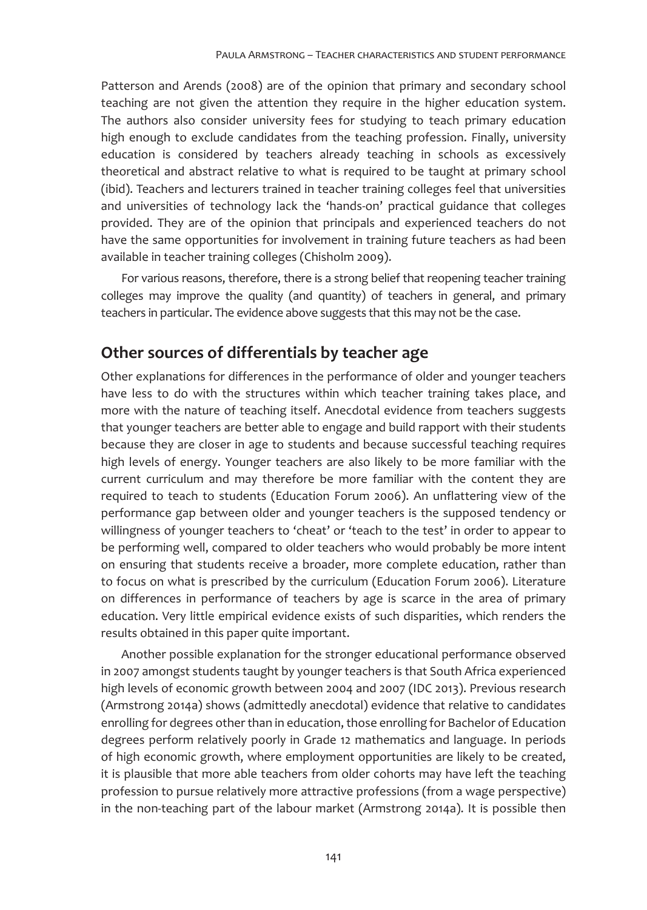Patterson and Arends (2008) are of the opinion that primary and secondary school teaching are not given the attention they require in the higher education system. The authors also consider university fees for studying to teach primary education high enough to exclude candidates from the teaching profession. Finally, university education is considered by teachers already teaching in schools as excessively theoretical and abstract relative to what is required to be taught at primary school (ibid). Teachers and lecturers trained in teacher training colleges feel that universities and universities of technology lack the 'hands-on' practical guidance that colleges provided. They are of the opinion that principals and experienced teachers do not have the same opportunities for involvement in training future teachers as had been available in teacher training colleges (Chisholm 2009).

For various reasons, therefore, there is a strong belief that reopening teacher training colleges may improve the quality (and quantity) of teachers in general, and primary teachers in particular. The evidence above suggests that this may not be the case.

## **Other sources of differentials by teacher age**

Other explanations for differences in the performance of older and younger teachers have less to do with the structures within which teacher training takes place, and more with the nature of teaching itself. Anecdotal evidence from teachers suggests that younger teachers are better able to engage and build rapport with their students because they are closer in age to students and because successful teaching requires high levels of energy. Younger teachers are also likely to be more familiar with the current curriculum and may therefore be more familiar with the content they are required to teach to students (Education Forum 2006). An unflattering view of the performance gap between older and younger teachers is the supposed tendency or willingness of younger teachers to 'cheat' or 'teach to the test' in order to appear to be performing well, compared to older teachers who would probably be more intent on ensuring that students receive a broader, more complete education, rather than to focus on what is prescribed by the curriculum (Education Forum 2006). Literature on differences in performance of teachers by age is scarce in the area of primary education. Very little empirical evidence exists of such disparities, which renders the results obtained in this paper quite important.

Another possible explanation for the stronger educational performance observed in 2007 amongst students taught by younger teachers is that South Africa experienced high levels of economic growth between 2004 and 2007 (IDC 2013). Previous research (Armstrong 2014a) shows (admittedly anecdotal) evidence that relative to candidates enrolling for degrees other than in education, those enrolling for Bachelor of Education degrees perform relatively poorly in Grade 12 mathematics and language. In periods of high economic growth, where employment opportunities are likely to be created, it is plausible that more able teachers from older cohorts may have left the teaching profession to pursue relatively more attractive professions (from a wage perspective) in the non-teaching part of the labour market (Armstrong 2014a). It is possible then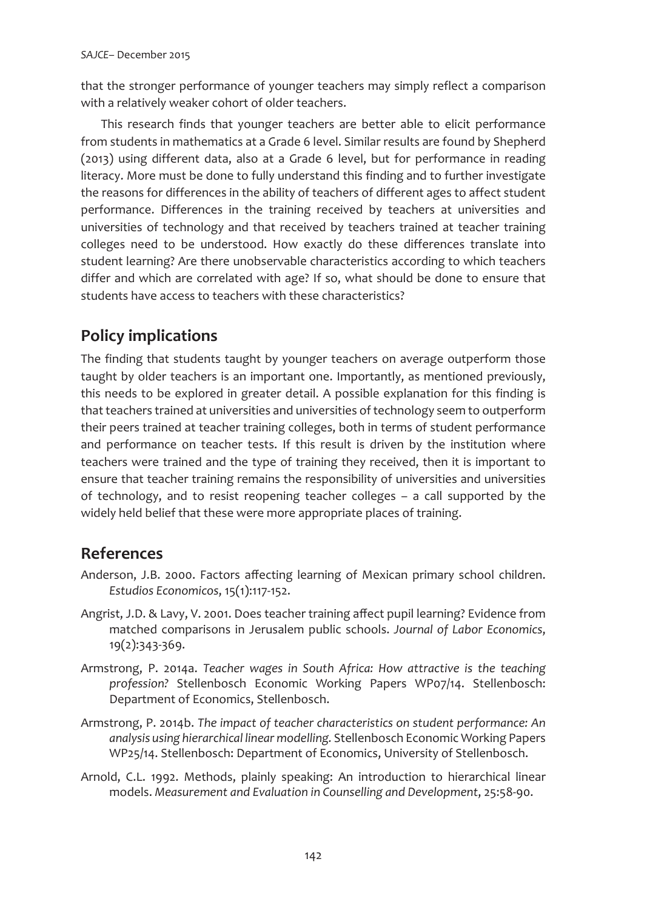that the stronger performance of younger teachers may simply reflect a comparison with a relatively weaker cohort of older teachers.

This research finds that younger teachers are better able to elicit performance from students in mathematics at a Grade 6 level. Similar results are found by Shepherd (2013) using different data, also at a Grade 6 level, but for performance in reading literacy. More must be done to fully understand this finding and to further investigate the reasons for differences in the ability of teachers of different ages to affect student performance. Differences in the training received by teachers at universities and universities of technology and that received by teachers trained at teacher training colleges need to be understood. How exactly do these differences translate into student learning? Are there unobservable characteristics according to which teachers differ and which are correlated with age? If so, what should be done to ensure that students have access to teachers with these characteristics?

# **Policy implications**

The finding that students taught by younger teachers on average outperform those taught by older teachers is an important one. Importantly, as mentioned previously, this needs to be explored in greater detail. A possible explanation for this finding is that teachers trained at universities and universities of technology seem to outperform their peers trained at teacher training colleges, both in terms of student performance and performance on teacher tests. If this result is driven by the institution where teachers were trained and the type of training they received, then it is important to ensure that teacher training remains the responsibility of universities and universities of technology, and to resist reopening teacher colleges – a call supported by the widely held belief that these were more appropriate places of training.

# **References**

- Anderson, J.B. 2000. Factors affecting learning of Mexican primary school children. *Estudios Economicos*, 15(1):117-152.
- Angrist, J.D. & Lavy, V. 2001. Does teacher training affect pupil learning? Evidence from matched comparisons in Jerusalem public schools. *Journal of Labor Economics*, 19(2):343-369.
- Armstrong, P. 2014a. *Teacher wages in South Africa: How attractive is the teaching profession?* Stellenbosch Economic Working Papers WP07/14. Stellenbosch: Department of Economics, Stellenbosch.
- Armstrong, P. 2014b. *The impact of teacher characteristics on student performance: An analysis using hierarchical linear modelling.* Stellenbosch Economic Working Papers WP25/14. Stellenbosch: Department of Economics, University of Stellenbosch.
- Arnold, C.L. 1992. Methods, plainly speaking: An introduction to hierarchical linear models. *Measurement and Evaluation in Counselling and Development*, 25:58-90.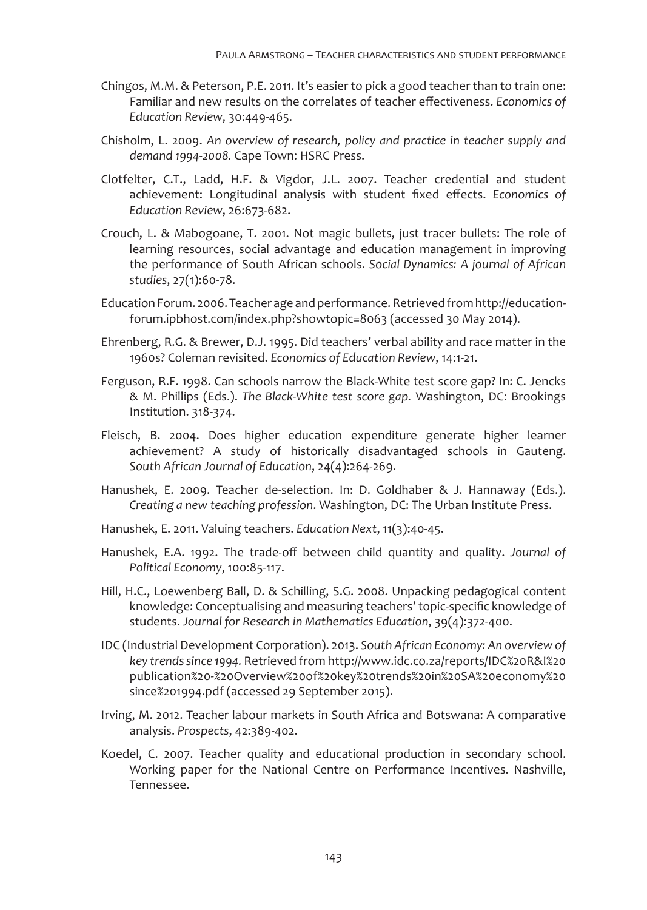- Chingos, M.M. & Peterson, P.E. 2011. It's easier to pick a good teacher than to train one: Familiar and new results on the correlates of teacher effectiveness. *Economics of Education Review*, 30:449-465.
- Chisholm, L. 2009. *An overview of research, policy and practice in teacher supply and demand 1994-2008.* Cape Town: HSRC Press.
- Clotfelter, C.T., Ladd, H.F. & Vigdor, J.L. 2007. Teacher credential and student achievement: Longitudinal analysis with student fixed effects. *Economics of Education Review*, 26:673-682.
- Crouch, L. & Mabogoane, T. 2001. Not magic bullets, just tracer bullets: The role of learning resources, social advantage and education management in improving the performance of South African schools. *Social Dynamics: A journal of African studies*, 27(1):60-78.
- Education Forum. 2006. Teacher age and performance. Retrieved from http://educationforum.ipbhost.com/index.php?showtopic=8063 (accessed 30 May 2014).
- Ehrenberg, R.G. & Brewer, D.J. 1995. Did teachers' verbal ability and race matter in the 1960s? Coleman revisited. *Economics of Education Review*, 14:1-21.
- Ferguson, R.F. 1998. Can schools narrow the Black-White test score gap? In: C. Jencks & M. Phillips (Eds.). *The Black-White test score gap.* Washington, DC: Brookings Institution. 318-374.
- Fleisch, B. 2004. Does higher education expenditure generate higher learner achievement? A study of historically disadvantaged schools in Gauteng. *South African Journal of Education*, 24(4):264-269.
- Hanushek, E. 2009. Teacher de-selection. In: D. Goldhaber & J. Hannaway (Eds.). *Creating a new teaching profession*. Washington, DC: The Urban Institute Press.
- Hanushek, E. 2011. Valuing teachers. *Education Next*, 11(3):40-45.
- Hanushek, E.A. 1992. The trade-off between child quantity and quality. *Journal of Political Economy*, 100:85-117.
- Hill, H.C., Loewenberg Ball, D. & Schilling, S.G. 2008. Unpacking pedagogical content knowledge: Conceptualising and measuring teachers' topic-specific knowledge of students. *Journal for Research in Mathematics Education*, 39(4):372-400.
- IDC (Industrial Development Corporation). 2013. *South African Economy: An overview of key trends since 1994.* Retrieved from http://www.idc.co.za/reports/IDC%20R&I%20 publication%20-%20Overview%20of%20key%20trends%20in%20SA%20economy%20 since%201994.pdf (accessed 29 September 2015).
- Irving, M. 2012. Teacher labour markets in South Africa and Botswana: A comparative analysis. *Prospects*, 42:389-402.
- Koedel, C. 2007. Teacher quality and educational production in secondary school. Working paper for the National Centre on Performance Incentives. Nashville, Tennessee.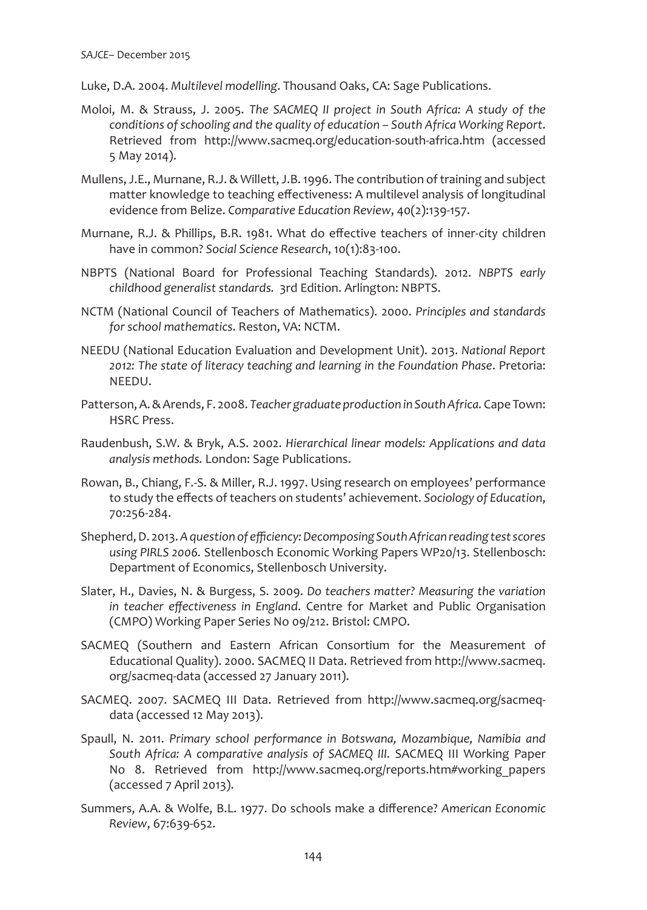Luke, D.A. 2004. *Multilevel modelling*. Thousand Oaks, CA: Sage Publications.

- Moloi, M. & Strauss, J. 2005. *The SACMEQ II project in South Africa: A study of the conditions of schooling and the quality of education – South Africa Working Report*. Retrieved from http://www.sacmeq.org/education-south-africa.htm (accessed 5 May 2014).
- Mullens, J.E., Murnane, R.J. & Willett, J.B. 1996. The contribution of training and subject matter knowledge to teaching effectiveness: A multilevel analysis of longitudinal evidence from Belize. *Comparative Education Review*, 40(2):139-157.
- Murnane, R.J. & Phillips, B.R. 1981. What do effective teachers of inner-city children have in common? *Social Science Research*, 10(1):83-100.
- NBPTS (National Board for Professional Teaching Standards). 2012. *NBPTS early childhood generalist standards.* 3rd Edition. Arlington: NBPTS.
- NCTM (National Council of Teachers of Mathematics). 2000. *Principles and standards for school mathematics*. Reston, VA: NCTM.
- NEEDU (National Education Evaluation and Development Unit). 2013. *National Report 2012: The state of literacy teaching and learning in the Foundation Phase*. Pretoria: NEEDU.
- Patterson, A. & Arends, F. 2008. *Teacher graduate production in South Africa.* Cape Town: HSRC Press.
- Raudenbush, S.W. & Bryk, A.S. 2002. *Hierarchical linear models: Applications and data analysis methods.* London: Sage Publications.
- Rowan, B., Chiang, F.-S. & Miller, R.J. 1997. Using research on employees' performance to study the effects of teachers on students' achievement. *Sociology of Education*, 70:256-284.
- Shepherd, D. 2013. *A question of efficiency: Decomposing South African reading test scores using PIRLS 2006.* Stellenbosch Economic Working Papers WP20/13. Stellenbosch: Department of Economics, Stellenbosch University.
- Slater, H., Davies, N. & Burgess, S. 2009. *Do teachers matter? Measuring the variation in teacher effectiveness in England*. Centre for Market and Public Organisation (CMPO) Working Paper Series No 09/212. Bristol: CMPO.
- SACMEQ (Southern and Eastern African Consortium for the Measurement of Educational Quality). 2000. SACMEQ II Data. Retrieved from http://www.sacmeq. org/sacmeq-data (accessed 27 January 2011).
- SACMEQ. 2007. SACMEQ III Data. Retrieved from http://www.sacmeq.org/sacmeqdata (accessed 12 May 2013).
- Spaull, N. 2011. *Primary school performance in Botswana, Mozambique, Namibia and South Africa: A comparative analysis of SACMEQ III.* SACMEQ III Working Paper No 8. Retrieved from http://www.sacmeq.org/reports.htm#working\_papers (accessed 7 April 2013).
- Summers, A.A. & Wolfe, B.L. 1977. Do schools make a difference? *American Economic Review*, 67:639-652.